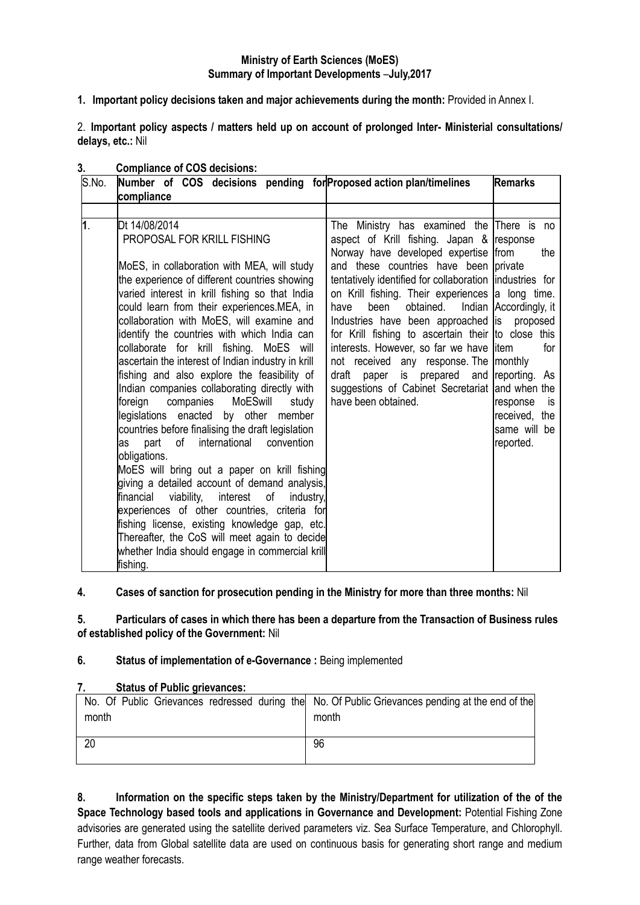# **Ministry of Earth Sciences (MoES) Summary of Important Developments** –**July,2017**

**1. Important policy decisions taken and major achievements during the month:** Provided in Annex I.

2. **Important policy aspects / matters held up on account of prolonged Inter- Ministerial consultations/ delays, etc.:** Nil

| S.No. | Number of COS decisions pending for Proposed action plan/timelines<br><b>Remarks</b><br>compliance                                                                                                                                                                                                                                                                                                                                                                                                                                                                                                                            |                                                                                                                                                                                                                                                                                                                                                                                                                                                                                                                                                                                                                                          |                                                                                         |  |  |
|-------|-------------------------------------------------------------------------------------------------------------------------------------------------------------------------------------------------------------------------------------------------------------------------------------------------------------------------------------------------------------------------------------------------------------------------------------------------------------------------------------------------------------------------------------------------------------------------------------------------------------------------------|------------------------------------------------------------------------------------------------------------------------------------------------------------------------------------------------------------------------------------------------------------------------------------------------------------------------------------------------------------------------------------------------------------------------------------------------------------------------------------------------------------------------------------------------------------------------------------------------------------------------------------------|-----------------------------------------------------------------------------------------|--|--|
|       |                                                                                                                                                                                                                                                                                                                                                                                                                                                                                                                                                                                                                               |                                                                                                                                                                                                                                                                                                                                                                                                                                                                                                                                                                                                                                          |                                                                                         |  |  |
| 1.    | Dt 14/08/2014<br>PROPOSAL FOR KRILL FISHING<br>MoES, in collaboration with MEA, will study<br>the experience of different countries showing<br>varied interest in krill fishing so that India<br>could learn from their experiences.MEA, in<br>collaboration with MoES, will examine and<br>identify the countries with which India can<br>collaborate for krill fishing. MoES will<br>ascertain the interest of Indian industry in krill<br>fishing and also explore the feasibility of<br>Indian companies collaborating directly with<br>foreign<br>companies<br>MoESwill<br>study<br>legislations enacted by other member | The Ministry has examined the There is no<br>aspect of Krill fishing. Japan & response<br>Norway have developed expertise from<br>and these countries have been private<br>tentatively identified for collaboration industries for<br>on Krill fishing. Their experiences a long time.<br>obtained.<br>have<br>been<br>Industries have been approached is proposed<br>for Krill fishing to ascertain their to close this<br>interests. However, so far we have litem<br>not received any response. The monthly<br>paper is prepared and reporting. As<br>draft<br>suggestions of Cabinet Secretariat and when the<br>have been obtained. | the<br>Indian Accordingly, it<br>for<br>response<br>is<br>received, the<br>same will be |  |  |
|       | countries before finalising the draft legislation<br>international<br>part<br>of<br>convention<br>as<br>obligations.<br>MoES will bring out a paper on krill fishing<br>giving a detailed account of demand analysis,<br>viability,<br>financial<br>interest<br>of<br>industry,<br>experiences of other countries, criteria for<br>fishing license, existing knowledge gap, etc.<br>Thereafter, the CoS will meet again to decide<br>whether India should engage in commercial krill<br>fishing.                                                                                                                              |                                                                                                                                                                                                                                                                                                                                                                                                                                                                                                                                                                                                                                          | reported.                                                                               |  |  |

## **3. Compliance of COS decisions:**

# **4. Cases of sanction for prosecution pending in the Ministry for more than three months:** Nil

**5. Particulars of cases in which there has been a departure from the Transaction of Business rules of established policy of the Government:** Nil

#### **6. Status of implementation of e-Governance :** Being implemented

## **7. Status of Public grievances:**

|       | No. Of Public Grievances redressed during the No. Of Public Grievances pending at the end of the |
|-------|--------------------------------------------------------------------------------------------------|
| month | month                                                                                            |
|       |                                                                                                  |
| 20    | 96                                                                                               |
|       |                                                                                                  |

**8. Information on the specific steps taken by the Ministry/Department for utilization of the of the Space Technology based tools and applications in Governance and Development:** Potential Fishing Zone advisories are generated using the satellite derived parameters viz. Sea Surface Temperature, and Chlorophyll. Further, data from Global satellite data are used on continuous basis for generating short range and medium range weather forecasts.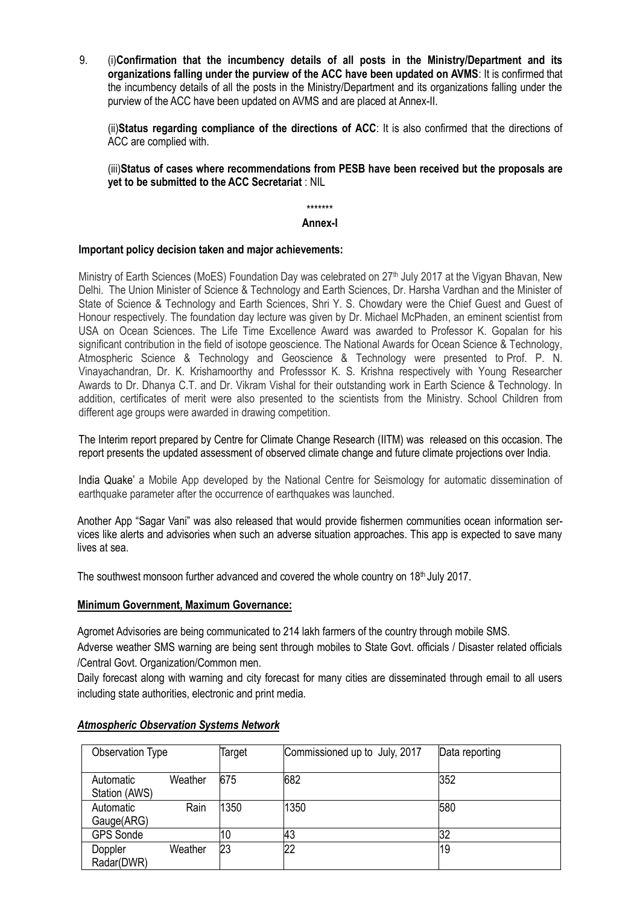9. (i)**Confirmation that the incumbency details of all posts in the Ministry/Department and its organizations falling under the purview of the ACC have been updated on AVMS**: It is confirmed that the incumbency details of all the posts in the Ministry/Department and its organizations falling under the purview of the ACC have been updated on AVMS and are placed at Annex-II.

(ii)**Status regarding compliance of the directions of ACC**: It is also confirmed that the directions of ACC are complied with.

(iii)**Status of cases where recommendations from PESB have been received but the proposals are yet to be submitted to the ACC Secretariat** : NIL

\*\*\*\*\*\*\*

#### **Annex-I**

#### **Important policy decision taken and major achievements:**

Ministry of Earth Sciences (MoES) Foundation Day was celebrated on 27<sup>th</sup> July 2017 at the Vigyan Bhavan, New Delhi. The Union Minister of Science & Technology and Earth Sciences, Dr. Harsha Vardhan and the Minister of State of Science & Technology and Earth Sciences, Shri Y. S. Chowdary were the Chief Guest and Guest of Honour respectively. The foundation day lecture was given by Dr. Michael McPhaden, an eminent scientist from USA on Ocean Sciences. The Life Time Excellence Award was awarded to Professor K. Gopalan for his significant contribution in the field of isotope geoscience. The National Awards for Ocean Science & Technology, Atmospheric Science & Technology and Geoscience & Technology were presented to Prof. P. N. Vinayachandran, Dr. K. Krishamoorthy and Professsor K. S. Krishna respectively with Young Researcher Awards to Dr. Dhanya C.T. and Dr. Vikram Vishal for their outstanding work in Earth Science & Technology. In addition, certificates of merit were also presented to the scientists from the Ministry. School Children from different age groups were awarded in drawing competition.

The Interim report prepared by Centre for Climate Change Research (IITM) was released on this occasion. The report presents the updated assessment of observed climate change and future climate projections over India.

India Quake" a Mobile App developed by the National Centre for Seismology for automatic dissemination of earthquake parameter after the occurrence of earthquakes was launched.

Another App "Sagar Vani" was also released that would provide fishermen communities ocean information services like alerts and advisories when such an adverse situation approaches. This app is expected to save many lives at sea.

The southwest monsoon further advanced and covered the whole country on 18<sup>th</sup> July 2017.

## **Minimum Government, Maximum Governance:**

Agromet Advisories are being communicated to 214 lakh farmers of the country through mobile SMS.

Adverse weather SMS warning are being sent through mobiles to State Govt. officials / Disaster related officials /Central Govt. Organization/Common men.

Daily forecast along with warning and city forecast for many cities are disseminated through email to all users including state authorities, electronic and print media.

| Observation Type           |         | Target | Commissioned up to July, 2017 | Data reporting |
|----------------------------|---------|--------|-------------------------------|----------------|
| Automatic<br>Station (AWS) | Weather | 675    | 682                           | 352            |
| Automatic<br>Gauge(ARG)    | Rain    | 1350   | 1350                          | 580            |
| <b>GPS Sonde</b>           |         | 10     | 43                            | 32             |
| Doppler<br>Radar(DWR)      | Weather | 23     | 22                            | 19             |

# *Atmospheric Observation Systems Network*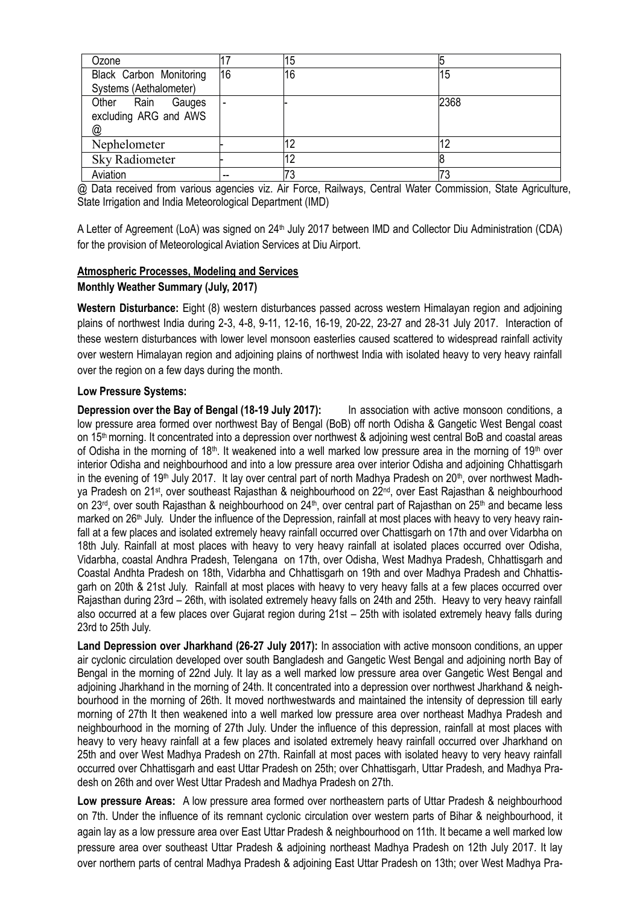| Ozone                   |    | 15 |      |
|-------------------------|----|----|------|
| Black Carbon Monitoring | 16 | 16 | 15   |
| Systems (Aethalometer)  |    |    |      |
| Other Rain Gauges       |    |    | 2368 |
| excluding ARG and AWS   |    |    |      |
| @                       |    |    |      |
| Nephelometer            |    | 12 | 12   |
| <b>Sky Radiometer</b>   |    | 12 |      |
| Aviation                | -- | 73 | 73   |

@ Data received from various agencies viz. Air Force, Railways, Central Water Commission, State Agriculture, State Irrigation and India Meteorological Department (IMD)

A Letter of Agreement (LoA) was signed on 24<sup>th</sup> July 2017 between IMD and Collector Diu Administration (CDA) for the provision of Meteorological Aviation Services at Diu Airport.

## **Atmospheric Processes, Modeling and Services Monthly Weather Summary (July, 2017)**

**Western Disturbance:** Eight (8) western disturbances passed across western Himalayan region and adjoining plains of northwest India during 2-3, 4-8, 9-11, 12-16, 16-19, 20-22, 23-27 and 28-31 July 2017. Interaction of these western disturbances with lower level monsoon easterlies caused scattered to widespread rainfall activity over western Himalayan region and adjoining plains of northwest India with isolated heavy to very heavy rainfall over the region on a few days during the month.

# **Low Pressure Systems:**

**Depression over the Bay of Bengal (18-19 July 2017):** In association with active monsoon conditions, a low pressure area formed over northwest Bay of Bengal (BoB) off north Odisha & Gangetic West Bengal coast on 15th morning. It concentrated into a depression over northwest & adjoining west central BoB and coastal areas of Odisha in the morning of 18<sup>th</sup>. It weakened into a well marked low pressure area in the morning of 19<sup>th</sup> over interior Odisha and neighbourhood and into a low pressure area over interior Odisha and adjoining Chhattisgarh in the evening of 19<sup>th</sup> July 2017. It lay over central part of north Madhya Pradesh on 20<sup>th</sup>, over northwest Madhya Pradesh on 21st, over southeast Rajasthan & neighbourhood on 22nd, over East Rajasthan & neighbourhood on 23<sup>rd</sup>, over south Rajasthan & neighbourhood on 24<sup>th</sup>, over central part of Rajasthan on 25<sup>th</sup> and became less marked on  $26<sup>th</sup>$  July. Under the influence of the Depression, rainfall at most places with heavy to very heavy rainfall at a few places and isolated extremely heavy rainfall occurred over Chattisgarh on 17th and over Vidarbha on 18th July. Rainfall at most places with heavy to very heavy rainfall at isolated places occurred over Odisha, Vidarbha, coastal Andhra Pradesh, Telengana on 17th, over Odisha, West Madhya Pradesh, Chhattisgarh and Coastal Andhta Pradesh on 18th, Vidarbha and Chhattisgarh on 19th and over Madhya Pradesh and Chhattisgarh on 20th & 21st July. Rainfall at most places with heavy to very heavy falls at a few places occurred over Rajasthan during 23rd – 26th, with isolated extremely heavy falls on 24th and 25th. Heavy to very heavy rainfall also occurred at a few places over Gujarat region during 21st – 25th with isolated extremely heavy falls during 23rd to 25th July.

**Land Depression over Jharkhand (26-27 July 2017):** In association with active monsoon conditions, an upper air cyclonic circulation developed over south Bangladesh and Gangetic West Bengal and adjoining north Bay of Bengal in the morning of 22nd July. It lay as a well marked low pressure area over Gangetic West Bengal and adjoining Jharkhand in the morning of 24th. It concentrated into a depression over northwest Jharkhand & neighbourhood in the morning of 26th. It moved northwestwards and maintained the intensity of depression till early morning of 27th It then weakened into a well marked low pressure area over northeast Madhya Pradesh and neighbourhood in the morning of 27th July. Under the influence of this depression, rainfall at most places with heavy to very heavy rainfall at a few places and isolated extremely heavy rainfall occurred over Jharkhand on 25th and over West Madhya Pradesh on 27th. Rainfall at most paces with isolated heavy to very heavy rainfall occurred over Chhattisgarh and east Uttar Pradesh on 25th; over Chhattisgarh, Uttar Pradesh, and Madhya Pradesh on 26th and over West Uttar Pradesh and Madhya Pradesh on 27th.

Low pressure Areas: A low pressure area formed over northeastern parts of Uttar Pradesh & neighbourhood on 7th. Under the influence of its remnant cyclonic circulation over western parts of Bihar & neighbourhood, it again lay as a low pressure area over East Uttar Pradesh & neighbourhood on 11th. It became a well marked low pressure area over southeast Uttar Pradesh & adjoining northeast Madhya Pradesh on 12th July 2017. It lay over northern parts of central Madhya Pradesh & adjoining East Uttar Pradesh on 13th; over West Madhya Pra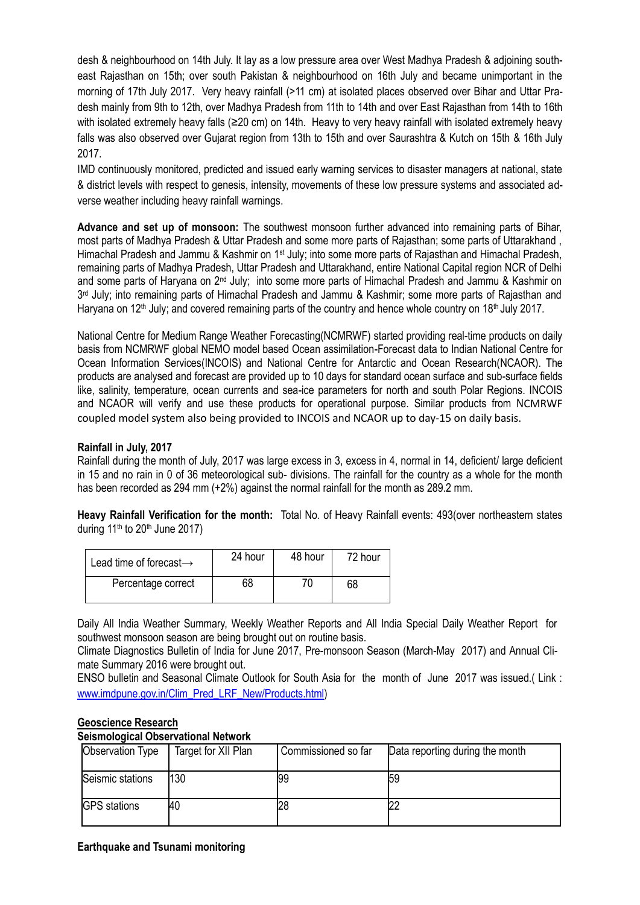desh & neighbourhood on 14th July. It lay as a low pressure area over West Madhya Pradesh & adjoining southeast Rajasthan on 15th; over south Pakistan & neighbourhood on 16th July and became unimportant in the morning of 17th July 2017. Very heavy rainfall (>11 cm) at isolated places observed over Bihar and Uttar Pradesh mainly from 9th to 12th, over Madhya Pradesh from 11th to 14th and over East Rajasthan from 14th to 16th with isolated extremely heavy falls (≥20 cm) on 14th. Heavy to very heavy rainfall with isolated extremely heavy falls was also observed over Gujarat region from 13th to 15th and over Saurashtra & Kutch on 15th & 16th July 2017.

IMD continuously monitored, predicted and issued early warning services to disaster managers at national, state & district levels with respect to genesis, intensity, movements of these low pressure systems and associated adverse weather including heavy rainfall warnings.

**Advance and set up of monsoon:** The southwest monsoon further advanced into remaining parts of Bihar, most parts of Madhya Pradesh & Uttar Pradesh and some more parts of Rajasthan; some parts of Uttarakhand , Himachal Pradesh and Jammu & Kashmir on 1st July; into some more parts of Rajasthan and Himachal Pradesh, remaining parts of Madhya Pradesh, Uttar Pradesh and Uttarakhand, entire National Capital region NCR of Delhi and some parts of Haryana on 2<sup>nd</sup> July; into some more parts of Himachal Pradesh and Jammu & Kashmir on 3<sup>rd</sup> July; into remaining parts of Himachal Pradesh and Jammu & Kashmir; some more parts of Rajasthan and Haryana on 12<sup>th</sup> July; and covered remaining parts of the country and hence whole country on 18<sup>th</sup> July 2017.

National Centre for Medium Range Weather Forecasting(NCMRWF) started providing real-time products on daily basis from NCMRWF global NEMO model based Ocean assimilation-Forecast data to Indian National Centre for Ocean Information Services(INCOIS) and National Centre for Antarctic and Ocean Research(NCAOR). The products are analysed and forecast are provided up to 10 days for standard ocean surface and sub-surface fields like, salinity, temperature, ocean currents and sea-ice parameters for north and south Polar Regions. INCOIS and NCAOR will verify and use these products for operational purpose. Similar products from NCMRWF coupled model system also being provided to INCOIS and NCAOR up to day-15 on daily basis.

## **Rainfall in July, 2017**

Rainfall during the month of July, 2017 was large excess in 3, excess in 4, normal in 14, deficient/ large deficient in 15 and no rain in 0 of 36 meteorological sub- divisions. The rainfall for the country as a whole for the month has been recorded as 294 mm (+2%) against the normal rainfall for the month as 289.2 mm.

**Heavy Rainfall Verification for the month:** Total No. of Heavy Rainfall events: 493(over northeastern states during  $11<sup>th</sup>$  to  $20<sup>th</sup>$  June  $2017$ )

| Lead time of forecast $\rightarrow$ | 24 hour | 48 hour | 72 hour |  |
|-------------------------------------|---------|---------|---------|--|
| Percentage correct                  | 68      | 70      | 68      |  |

Daily All India Weather Summary, Weekly Weather Reports and All India Special Daily Weather Report for southwest monsoon season are being brought out on routine basis.

Climate Diagnostics Bulletin of India for June 2017, Pre-monsoon Season (March-May 2017) and Annual Climate Summary 2016 were brought out.

ENSO bulletin and Seasonal Climate Outlook for South Asia for the month of June 2017 was issued.( Link : [www.imdpune.gov.in/Clim\\_Pred\\_LRF\\_New/Products.html\)](http://www.imdpune.gov.in/Clim_Pred_LRF_New/Products.html)

#### **Geoscience Research**

#### **Seismological Observational Network**

| Observation Type    | Target for XII Plan | Commissioned so far | Data reporting during the month |
|---------------------|---------------------|---------------------|---------------------------------|
| Seismic stations    | 130                 | 199                 | 159                             |
| <b>GPS</b> stations | 40                  | 28                  |                                 |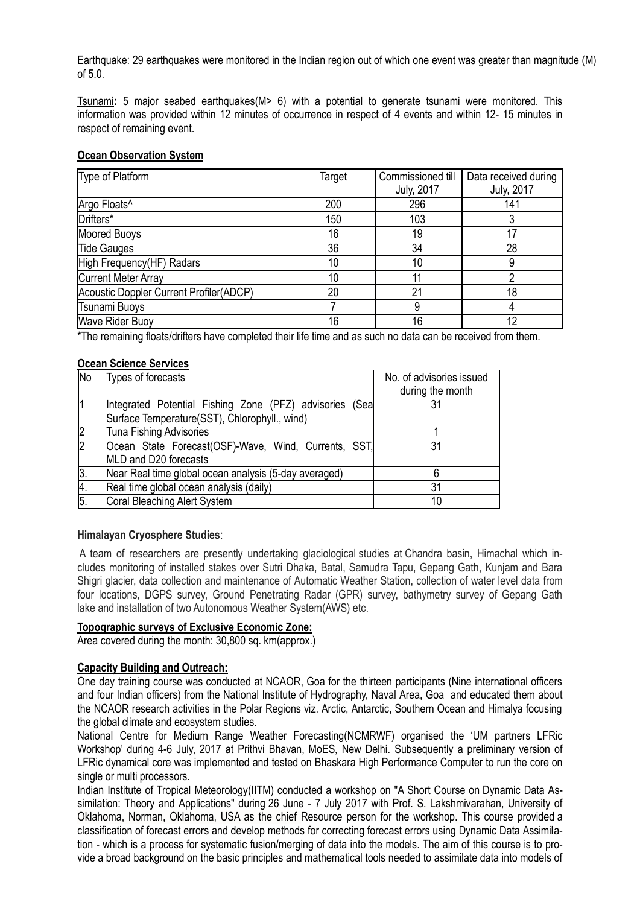Earthquake: 29 earthquakes were monitored in the Indian region out of which one event was greater than magnitude (M) of 5.0.

Tsunami**:** 5 major seabed earthquakes(M> 6) with a potential to generate tsunami were monitored. This information was provided within 12 minutes of occurrence in respect of 4 events and within 12- 15 minutes in respect of remaining event.

#### **Ocean Observation System**

| Type of Platform                               | Target          | Commissioned till | Data received during |
|------------------------------------------------|-----------------|-------------------|----------------------|
|                                                |                 | <b>July, 2017</b> | <b>July, 2017</b>    |
| Argo Floats <sup>^</sup>                       | 200             | 296               | 141                  |
| Drifters*                                      | 150             | 103               |                      |
| <b>Moored Buoys</b>                            | 16              | 19                |                      |
| <b>Tide Gauges</b>                             | 36              | 34                | 28                   |
| High Frequency(HF) Radars                      | 10              | 10                |                      |
| <b>Current Meter Array</b>                     | 10 <sup>°</sup> |                   |                      |
| <b>Acoustic Doppler Current Profiler(ADCP)</b> | 20              | 21                | 18                   |
| Tsunami Buoys                                  |                 | 9                 |                      |
| <b>Wave Rider Buoy</b>                         | 16              | 16                | 12                   |

\*The remaining floats/drifters have completed their life time and as such no data can be received from them.

## **Ocean Science Services**

| <b>No</b>    | Types of forecasts                                                                                       | No. of advisories issued<br>during the month |
|--------------|----------------------------------------------------------------------------------------------------------|----------------------------------------------|
|              | Integrated Potential Fishing Zone (PFZ) advisories (Sea<br>Surface Temperature(SST), Chlorophyll., wind) |                                              |
|              | Tuna Fishing Advisories                                                                                  |                                              |
| $\mathsf{2}$ | Ocean State Forecast(OSF)-Wave, Wind, Currents, SST,<br>MLD and D20 forecasts                            | 31                                           |
| 3.           | Near Real time global ocean analysis (5-day averaged)                                                    |                                              |
| 4.           | Real time global ocean analysis (daily)                                                                  | 31                                           |
| 5.           | Coral Bleaching Alert System                                                                             | 10                                           |

# **Himalayan Cryosphere Studies**:

A team of researchers are presently undertaking glaciological studies at Chandra basin, Himachal which includes monitoring of installed stakes over Sutri Dhaka, Batal, Samudra Tapu, Gepang Gath, Kunjam and Bara Shigri glacier, data collection and maintenance of Automatic Weather Station, collection of water level data from four locations, DGPS survey, Ground Penetrating Radar (GPR) survey, bathymetry survey of Gepang Gath lake and installation of two Autonomous Weather System(AWS) etc.

#### **Topographic surveys of Exclusive Economic Zone:**

Area covered during the month: 30,800 sq. km(approx.)

#### **Capacity Building and Outreach:**

One day training course was conducted at NCAOR, Goa for the thirteen participants (Nine international officers and four Indian officers) from the National Institute of Hydrography, Naval Area, Goa and educated them about the NCAOR research activities in the Polar Regions viz. Arctic, Antarctic, Southern Ocean and Himalya focusing the global climate and ecosystem studies.

National Centre for Medium Range Weather Forecasting(NCMRWF) organised the "UM partners LFRic Workshop" during 4-6 July, 2017 at Prithvi Bhavan, MoES, New Delhi. Subsequently a preliminary version of LFRic dynamical core was implemented and tested on Bhaskara High Performance Computer to run the core on single or multi processors.

Indian Institute of Tropical Meteorology(IITM) conducted a workshop on "A Short Course on Dynamic Data Assimilation: Theory and Applications" during 26 June - 7 July 2017 with Prof. S. Lakshmivarahan, University of Oklahoma, Norman, Oklahoma, USA as the chief Resource person for the workshop. This course provided a classification of forecast errors and develop methods for correcting forecast errors using Dynamic Data Assimilation - which is a process for systematic fusion/merging of data into the models. The aim of this course is to provide a broad background on the basic principles and mathematical tools needed to assimilate data into models of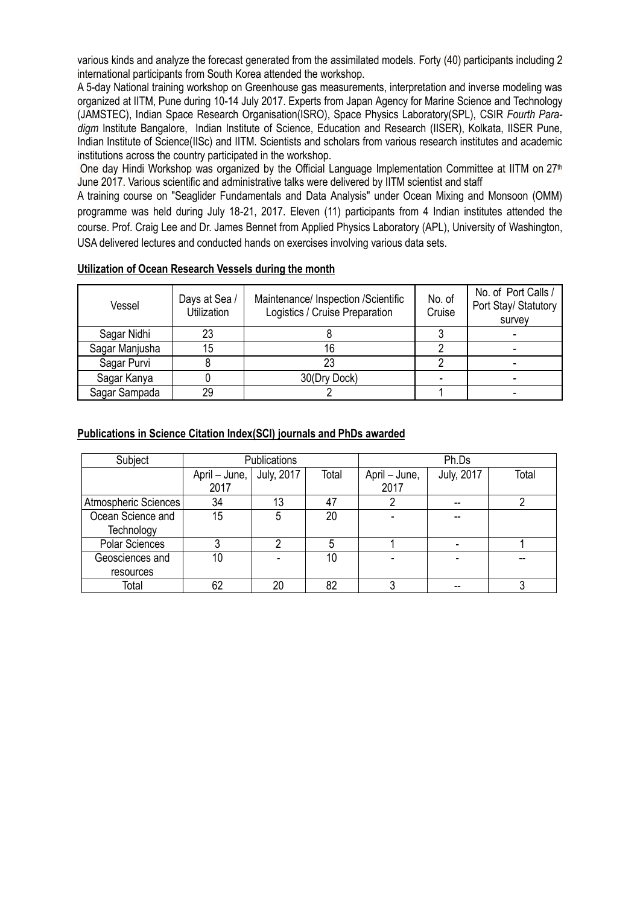various kinds and analyze the forecast generated from the assimilated models. Forty (40) participants including 2 international participants from South Korea attended the workshop.

A 5-day National training workshop on Greenhouse gas measurements, interpretation and inverse modeling was organized at IITM, Pune during 10-14 July 2017. Experts from Japan Agency for Marine Science and Technology (JAMSTEC), Indian Space Research Organisation(ISRO), Space Physics Laboratory(SPL), CSIR *Fourth Paradigm* Institute Bangalore, Indian Institute of Science, Education and Research (IISER), Kolkata, IISER Pune, Indian Institute of Science(IISc) and IITM. Scientists and scholars from various research institutes and academic institutions across the country participated in the workshop.

One day Hindi Workshop was organized by the Official Language Implementation Committee at IITM on 27<sup>th</sup> June 2017. Various scientific and administrative talks were delivered by IITM scientist and staff

A training course on "Seaglider Fundamentals and Data Analysis" under Ocean Mixing and Monsoon (OMM) programme was held during July 18-21, 2017. Eleven (11) participants from 4 Indian institutes attended the course. Prof. Craig Lee and Dr. James Bennet from Applied Physics Laboratory (APL), University of Washington, USA delivered lectures and conducted hands on exercises involving various data sets.

| Days at Sea /<br>Vessel<br>Utilization |    | Maintenance/ Inspection /Scientific<br>Logistics / Cruise Preparation | No. of<br>Cruise | No. of Port Calls /<br>Port Stay/ Statutory<br>survey |
|----------------------------------------|----|-----------------------------------------------------------------------|------------------|-------------------------------------------------------|
| Sagar Nidhi                            | 23 |                                                                       |                  |                                                       |
| Sagar Manjusha                         | 15 |                                                                       |                  |                                                       |
| Sagar Purvi                            |    |                                                                       |                  |                                                       |
| Sagar Kanya                            |    | 30(Dry Dock)                                                          |                  |                                                       |
| Sagar Sampada                          | 29 |                                                                       |                  |                                                       |

# **Utilization of Ocean Research Vessels during the month**

## **Publications in Science Citation Index(SCI) journals and PhDs awarded**

| Subject               | Publications               |    |       | Ph.Ds         |                   |       |
|-----------------------|----------------------------|----|-------|---------------|-------------------|-------|
|                       | April – June,   July, 2017 |    | Total | April – June, | <b>July, 2017</b> | Total |
|                       | 2017                       |    |       | 2017          |                   |       |
| Atmospheric Sciences  | 34                         | 13 | 47    |               |                   |       |
| Ocean Science and     | 15                         | 5  | 20    |               |                   |       |
| Technology            |                            |    |       |               |                   |       |
| <b>Polar Sciences</b> |                            | ი  |       |               |                   |       |
| Geosciences and       | 10                         |    | 10    |               |                   |       |
| resources             |                            |    |       |               |                   |       |
| Total                 | 62                         | 20 | 82    |               |                   |       |